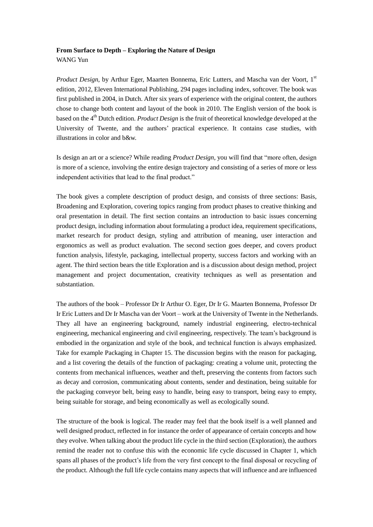## **From Surface to Depth – Exploring the Nature of Design**

WANG Yun

*Product Design*, by Arthur Eger, Maarten Bonnema, Eric Lutters, and Mascha van der Voort, 1<sup>st</sup> edition, 2012, Eleven International Publishing, 294 pages including index, softcover. The book was first published in 2004, in Dutch. After six years of experience with the original content, the authors chose to change both content and layout of the book in 2010. The English version of the book is based on the 4th Dutch edition. *Product Design* is the fruit of theoretical knowledge developed at the University of Twente, and the authors' practical experience. It contains case studies, with illustrations in color and b&w.

Is design an art or a science? While reading *Product Design*, you will find that "more often, design is more of a science, involving the entire design trajectory and consisting of a series of more or less independent activities that lead to the final product."

The book gives a complete description of product design, and consists of three sections: Basis, Broadening and Exploration, covering topics ranging from product phases to creative thinking and oral presentation in detail. The first section contains an introduction to basic issues concerning product design, including information about formulating a product idea, requirement specifications, market research for product design, styling and attribution of meaning, user interaction and ergonomics as well as product evaluation. The second section goes deeper, and covers product function analysis, lifestyle, packaging, intellectual property, success factors and working with an agent. The third section bears the title Exploration and is a discussion about design method, project management and project documentation, creativity techniques as well as presentation and substantiation.

The authors of the book – Professor Dr Ir Arthur O. Eger, Dr Ir G. Maarten Bonnema, Professor Dr Ir Eric Lutters and Dr Ir Mascha van der Voort – work at the University of Twente in the Netherlands. They all have an engineering background, namely industrial engineering, electro-technical engineering, mechanical engineering and civil engineering, respectively. The team's background is embodied in the organization and style of the book, and technical function is always emphasized. Take for example Packaging in Chapter 15. The discussion begins with the reason for packaging, and a list covering the details of the function of packaging: creating a volume unit, protecting the contents from mechanical influences, weather and theft, preserving the contents from factors such as decay and corrosion, communicating about contents, sender and destination, being suitable for the packaging conveyor belt, being easy to handle, being easy to transport, being easy to empty, being suitable for storage, and being economically as well as ecologically sound.

The structure of the book is logical. The reader may feel that the book itself is a well planned and well designed product, reflected in for instance the order of appearance of certain concepts and how they evolve. When talking about the product life cycle in the third section (Exploration), the authors remind the reader not to confuse this with the economic life cycle discussed in Chapter 1, which spans all phases of the product's life from the very first concept to the final disposal or recycling of the product. Although the full life cycle contains many aspects that will influence and are influenced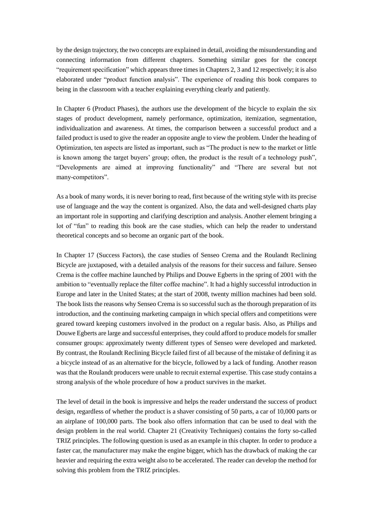by the design trajectory, the two concepts are explained in detail, avoiding the misunderstanding and connecting information from different chapters. Something similar goes for the concept "requirement specification" which appears three times in Chapters 2, 3 and 12 respectively; it is also elaborated under "product function analysis". The experience of reading this book compares to being in the classroom with a teacher explaining everything clearly and patiently.

In Chapter 6 (Product Phases), the authors use the development of the bicycle to explain the six stages of product development, namely performance, optimization, itemization, segmentation, individualization and awareness. At times, the comparison between a successful product and a failed product is used to give the reader an opposite angle to view the problem. Under the heading of Optimization, ten aspects are listed as important, such as "The product is new to the market or little is known among the target buyers' group; often, the product is the result of a technology push", "Developments are aimed at improving functionality" and "There are several but not many-competitors".

As a book of many words, it is never boring to read, first because of the writing style with its precise use of language and the way the content is organized. Also, the data and well-designed charts play an important role in supporting and clarifying description and analysis. Another element bringing a lot of "fun" to reading this book are the case studies, which can help the reader to understand theoretical concepts and so become an organic part of the book.

In Chapter 17 (Success Factors), the case studies of Senseo Crema and the Roulandt Reclining Bicycle are juxtaposed, with a detailed analysis of the reasons for their success and failure. Senseo Crema is the coffee machine launched by Philips and Douwe Egberts in the spring of 2001 with the ambition to "eventually replace the filter coffee machine". It had a highly successful introduction in Europe and later in the United States; at the start of 2008, twenty million machines had been sold. The book lists the reasons why Senseo Crema is so successful such as the thorough preparation of its introduction, and the continuing marketing campaign in which special offers and competitions were geared toward keeping customers involved in the product on a regular basis. Also, as Philips and Douwe Egberts are large and successful enterprises, they could afford to produce models for smaller consumer groups: approximately twenty different types of Senseo were developed and marketed. By contrast, the Roulandt Reclining Bicycle failed first of all because of the mistake of defining it as a bicycle instead of as an alternative for the bicycle, followed by a lack of funding. Another reason was that the Roulandt producers were unable to recruit external expertise. This case study contains a strong analysis of the whole procedure of how a product survives in the market.

The level of detail in the book is impressive and helps the reader understand the success of product design, regardless of whether the product is a shaver consisting of 50 parts, a car of 10,000 parts or an airplane of 100,000 parts. The book also offers information that can be used to deal with the design problem in the real world. Chapter 21 (Creativity Techniques) contains the forty so-called TRIZ principles. The following question is used as an example in this chapter. In order to produce a faster car, the manufacturer may make the engine bigger, which has the drawback of making the car heavier and requiring the extra weight also to be accelerated. The reader can develop the method for solving this problem from the TRIZ principles.